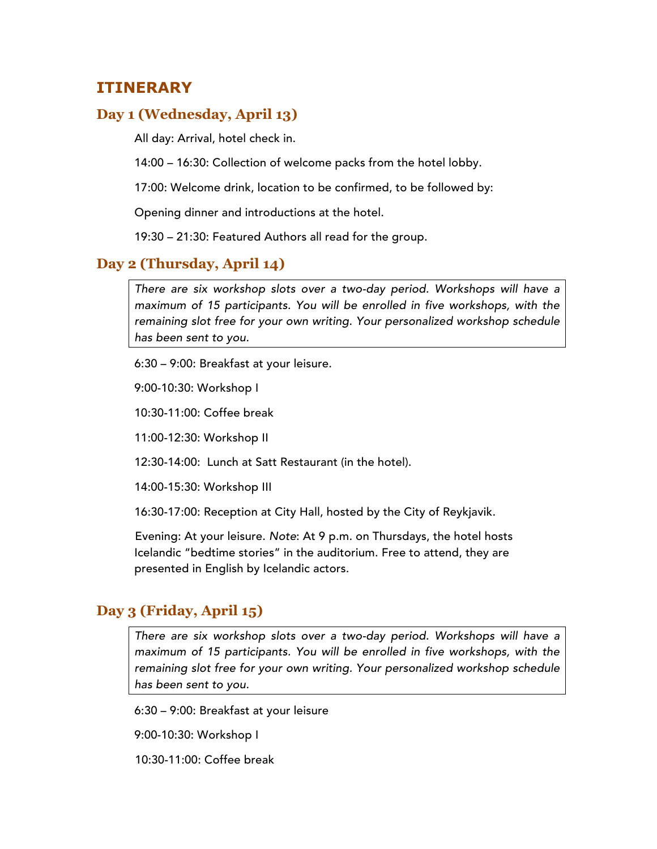## **ITINERARY**

#### **Day 1 (Wednesday, April 13)**

All day: Arrival, hotel check in.

14:00 – 16:30: Collection of welcome packs from the hotel lobby.

17:00: Welcome drink, location to be confirmed, to be followed by:

Opening dinner and introductions at the hotel.

19:30 – 21:30: Featured Authors all read for the group.

#### **Day 2 (Thursday, April 14)**

*There are six workshop slots over a two-day period. Workshops will have a maximum of 15 participants. You will be enrolled in five workshops, with the remaining slot free for your own writing. Your personalized workshop schedule has been sent to you.*

6:30 – 9:00: Breakfast at your leisure.

9:00-10:30: Workshop I

10:30-11:00: Coffee break

11:00-12:30: Workshop II

12:30-14:00: Lunch at Satt Restaurant (in the hotel).

14:00-15:30: Workshop III

16:30-17:00: Reception at City Hall, hosted by the City of Reykjavik.

Evening: At your leisure. *Note*: At 9 p.m. on Thursdays, the hotel hosts Icelandic "bedtime stories" in the auditorium. Free to attend, they are presented in English by Icelandic actors.

#### **Day 3 (Friday, April 15)**

*There are six workshop slots over a two-day period. Workshops will have a maximum of 15 participants. You will be enrolled in five workshops, with the remaining slot free for your own writing. Your personalized workshop schedule has been sent to you.*

6:30 – 9:00: Breakfast at your leisure

9:00-10:30: Workshop I

10:30-11:00: Coffee break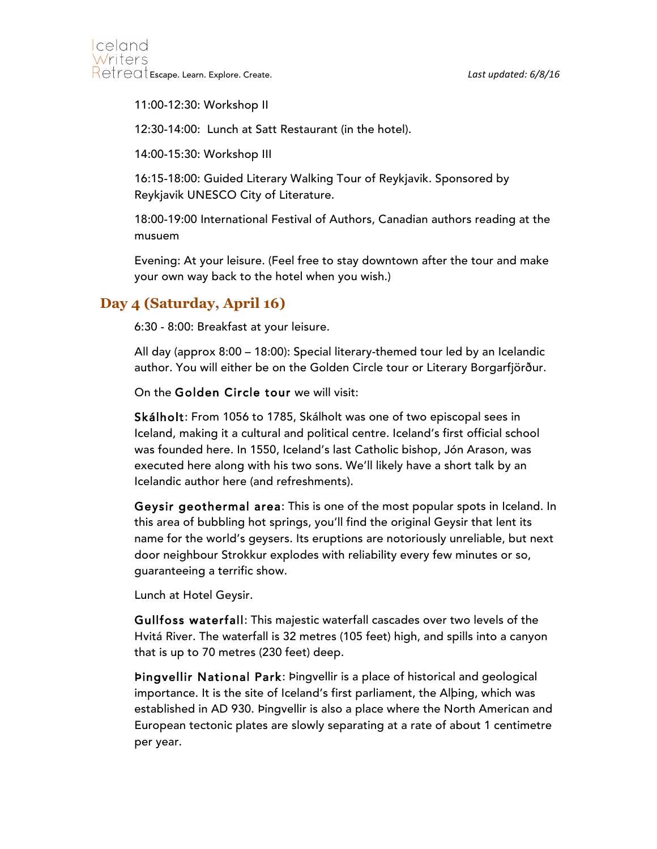11:00-12:30: Workshop II

12:30-14:00: Lunch at Satt Restaurant (in the hotel).

14:00-15:30: Workshop III

16:15-18:00: Guided Literary Walking Tour of Reykjavik. Sponsored by Reykjavik UNESCO City of Literature.

18:00-19:00 International Festival of Authors, Canadian authors reading at the musuem

Evening: At your leisure. (Feel free to stay downtown after the tour and make your own way back to the hotel when you wish.)

## **Day 4 (Saturday, April 16)**

6:30 - 8:00: Breakfast at your leisure.

All day (approx 8:00 – 18:00): Special literary-themed tour led by an Icelandic author. You will either be on the Golden Circle tour or Literary Borgarfjörður.

On the Golden Circle tour we will visit:

Skálholt: From 1056 to 1785, Skálholt was one of two episcopal sees in Iceland, making it a cultural and political centre. Iceland's first official school was founded here. In 1550, Iceland's last Catholic bishop, Jón Arason, was executed here along with his two sons. We'll likely have a short talk by an Icelandic author here (and refreshments).

Geysir geothermal area: This is one of the most popular spots in Iceland. In this area of bubbling hot springs, you'll find the original Geysir that lent its name for the world's geysers. Its eruptions are notoriously unreliable, but next door neighbour Strokkur explodes with reliability every few minutes or so, guaranteeing a terrific show.

Lunch at Hotel Geysir.

Gullfoss waterfall: This majestic waterfall cascades over two levels of the Hvitá River. The waterfall is 32 metres (105 feet) high, and spills into a canyon that is up to 70 metres (230 feet) deep.

Þingvellir National Park: Þingvellir is a place of historical and geological importance. It is the site of Iceland's first parliament, the Alþing, which was established in AD 930. Þingvellir is also a place where the North American and European tectonic plates are slowly separating at a rate of about 1 centimetre per year.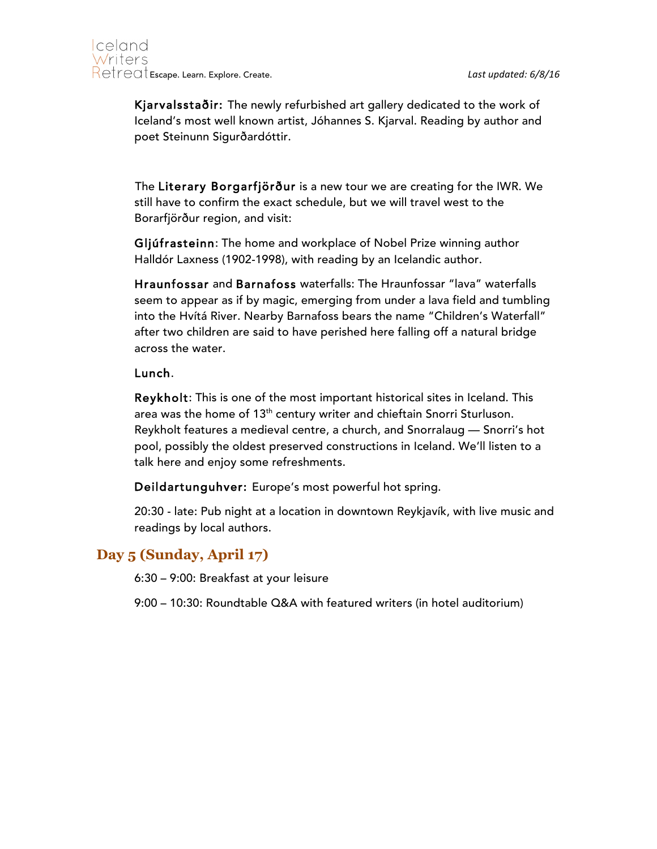

Kjarvalsstaðir: The newly refurbished art gallery dedicated to the work of Iceland's most well known artist, Jóhannes S. Kjarval. Reading by author and poet Steinunn Sigurðardóttir.

The Literary Borgarfjörður is a new tour we are creating for the IWR. We still have to confirm the exact schedule, but we will travel west to the Borarfjörður region, and visit:

Gljúfrasteinn: The home and workplace of Nobel Prize winning author Halldór Laxness (1902-1998), with reading by an Icelandic author.

Hraunfossar and Barnafoss waterfalls: The Hraunfossar "lava" waterfalls seem to appear as if by magic, emerging from under a lava field and tumbling into the Hvítá River. Nearby Barnafoss bears the name "Children's Waterfall" after two children are said to have perished here falling off a natural bridge across the water.

#### Lunch.

Reykholt: This is one of the most important historical sites in Iceland. This area was the home of 13<sup>th</sup> century writer and chieftain Snorri Sturluson. Reykholt features a medieval centre, a church, and Snorralaug — Snorri's hot pool, possibly the oldest preserved constructions in Iceland. We'll listen to a talk here and enjoy some refreshments.

Deildartunguhver: Europe's most powerful hot spring.

20:30 - late: Pub night at a location in downtown Reykjavík, with live music and readings by local authors.

#### **Day 5 (Sunday, April 17)**

6:30 – 9:00: Breakfast at your leisure

9:00 – 10:30: Roundtable Q&A with featured writers (in hotel auditorium)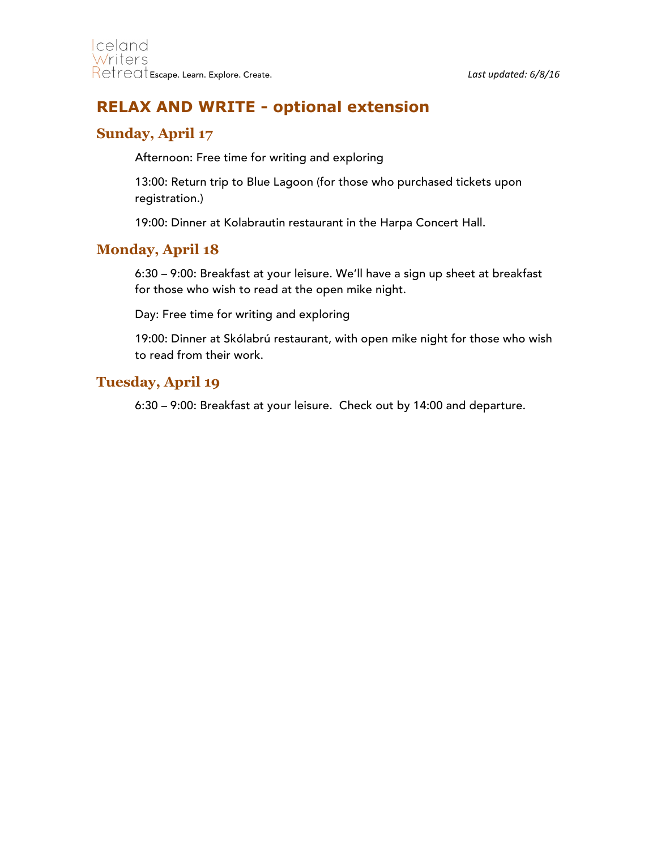# **RELAX AND WRITE - optional extension**

## **Sunday, April 17**

Afternoon: Free time for writing and exploring

13:00: Return trip to Blue Lagoon (for those who purchased tickets upon registration.)

19:00: Dinner at Kolabrautin restaurant in the Harpa Concert Hall.

### **Monday, April 18**

6:30 – 9:00: Breakfast at your leisure. We'll have a sign up sheet at breakfast for those who wish to read at the open mike night.

Day: Free time for writing and exploring

19:00: Dinner at Skólabrú restaurant, with open mike night for those who wish to read from their work.

#### **Tuesday, April 19**

6:30 – 9:00: Breakfast at your leisure. Check out by 14:00 and departure.